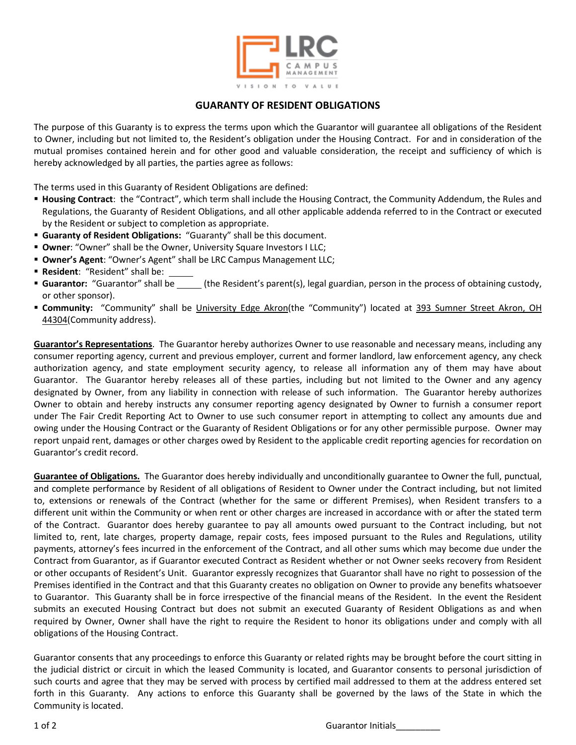

## **GUARANTY OF RESIDENT OBLIGATIONS**

The purpose of this Guaranty is to express the terms upon which the Guarantor will guarantee all obligations of the Resident to Owner, including but not limited to, the Resident's obligation under the Housing Contract. For and in consideration of the mutual promises contained herein and for other good and valuable consideration, the receipt and sufficiency of which is hereby acknowledged by all parties, the parties agree as follows:

The terms used in this Guaranty of Resident Obligations are defined:

- **Housing Contract**: the "Contract", which term shall include the Housing Contract, the Community Addendum, the Rules and Regulations, the Guaranty of Resident Obligations, and all other applicable addenda referred to in the Contract or executed by the Resident or subject to completion as appropriate.
- **Guaranty of Resident Obligations:** "Guaranty" shall be this document.
- **Owner**: "Owner" shall be the Owner, University Square Investors I LLC;
- **Owner's Agent**: "Owner's Agent" shall be LRC Campus Management LLC;
- **Resident**: "Resident" shall be:
- **Guarantor:** "Guarantor" shall be \_\_\_\_\_(the Resident's parent(s), legal guardian, person in the process of obtaining custody, or other sponsor).
- **Community:** "Community" shall be University Edge Akron(the "Community") located at 393 Sumner Street Akron, OH 44304(Community address).

**Guarantor's Representations**. The Guarantor hereby authorizes Owner to use reasonable and necessary means, including any consumer reporting agency, current and previous employer, current and former landlord, law enforcement agency, any check authorization agency, and state employment security agency, to release all information any of them may have about Guarantor. The Guarantor hereby releases all of these parties, including but not limited to the Owner and any agency designated by Owner, from any liability in connection with release of such information. The Guarantor hereby authorizes Owner to obtain and hereby instructs any consumer reporting agency designated by Owner to furnish a consumer report under The Fair Credit Reporting Act to Owner to use such consumer report in attempting to collect any amounts due and owing under the Housing Contract or the Guaranty of Resident Obligations or for any other permissible purpose. Owner may report unpaid rent, damages or other charges owed by Resident to the applicable credit reporting agencies for recordation on Guarantor's credit record.

**Guarantee of Obligations.** The Guarantor does hereby individually and unconditionally guarantee to Owner the full, punctual, and complete performance by Resident of all obligations of Resident to Owner under the Contract including, but not limited to, extensions or renewals of the Contract (whether for the same or different Premises), when Resident transfers to a different unit within the Community or when rent or other charges are increased in accordance with or after the stated term of the Contract. Guarantor does hereby guarantee to pay all amounts owed pursuant to the Contract including, but not limited to, rent, late charges, property damage, repair costs, fees imposed pursuant to the Rules and Regulations, utility payments, attorney's fees incurred in the enforcement of the Contract, and all other sums which may become due under the Contract from Guarantor, as if Guarantor executed Contract as Resident whether or not Owner seeks recovery from Resident or other occupants of Resident's Unit. Guarantor expressly recognizes that Guarantor shall have no right to possession of the Premises identified in the Contract and that this Guaranty creates no obligation on Owner to provide any benefits whatsoever to Guarantor. This Guaranty shall be in force irrespective of the financial means of the Resident. In the event the Resident submits an executed Housing Contract but does not submit an executed Guaranty of Resident Obligations as and when required by Owner, Owner shall have the right to require the Resident to honor its obligations under and comply with all obligations of the Housing Contract.

Guarantor consents that any proceedings to enforce this Guaranty or related rights may be brought before the court sitting in the judicial district or circuit in which the leased Community is located, and Guarantor consents to personal jurisdiction of such courts and agree that they may be served with process by certified mail addressed to them at the address entered set forth in this Guaranty. Any actions to enforce this Guaranty shall be governed by the laws of the State in which the Community is located.

1 of 2 Guarantor Initials\_\_\_\_\_\_\_\_\_